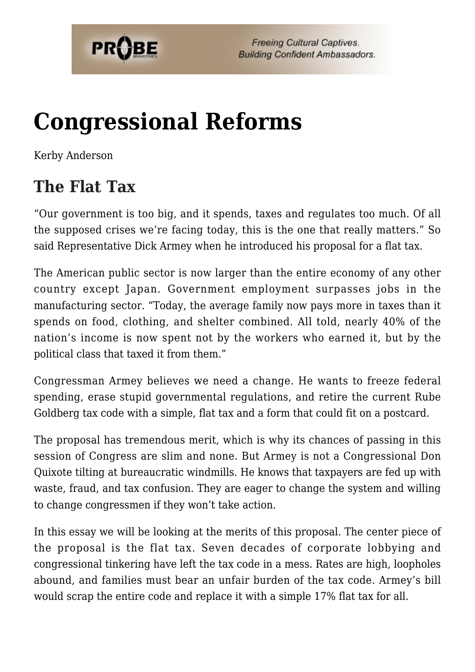

# **[Congressional Reforms](https://probe.org/congressional-reforms/)**

Kerby Anderson

### **The Flat Tax**

"Our government is too big, and it spends, taxes and regulates too much. Of all the supposed crises we're facing today, this is the one that really matters." So said Representative Dick Armey when he introduced his proposal for a flat tax.

The American public sector is now larger than the entire economy of any other country except Japan. Government employment surpasses jobs in the manufacturing sector. "Today, the average family now pays more in taxes than it spends on food, clothing, and shelter combined. All told, nearly 40% of the nation's income is now spent not by the workers who earned it, but by the political class that taxed it from them."

Congressman Armey believes we need a change. He wants to freeze federal spending, erase stupid governmental regulations, and retire the current Rube Goldberg tax code with a simple, flat tax and a form that could fit on a postcard.

The proposal has tremendous merit, which is why its chances of passing in this session of Congress are slim and none. But Armey is not a Congressional Don Quixote tilting at bureaucratic windmills. He knows that taxpayers are fed up with waste, fraud, and tax confusion. They are eager to change the system and willing to change congressmen if they won't take action.

In this essay we will be looking at the merits of this proposal. The center piece of the proposal is the flat tax. Seven decades of corporate lobbying and congressional tinkering have left the tax code in a mess. Rates are high, loopholes abound, and families must bear an unfair burden of the tax code. Armey's bill would scrap the entire code and replace it with a simple 17% flat tax for all.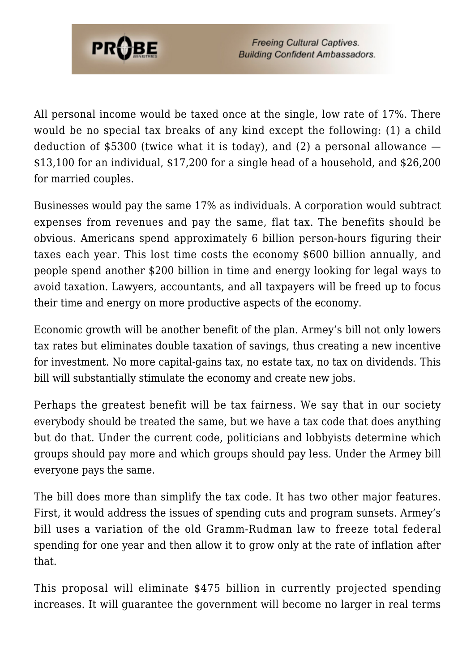

All personal income would be taxed once at the single, low rate of 17%. There would be no special tax breaks of any kind except the following: (1) a child deduction of \$5300 (twice what it is today), and  $(2)$  a personal allowance  $-$ \$13,100 for an individual, \$17,200 for a single head of a household, and \$26,200 for married couples.

Businesses would pay the same 17% as individuals. A corporation would subtract expenses from revenues and pay the same, flat tax. The benefits should be obvious. Americans spend approximately 6 billion person-hours figuring their taxes each year. This lost time costs the economy \$600 billion annually, and people spend another \$200 billion in time and energy looking for legal ways to avoid taxation. Lawyers, accountants, and all taxpayers will be freed up to focus their time and energy on more productive aspects of the economy.

Economic growth will be another benefit of the plan. Armey's bill not only lowers tax rates but eliminates double taxation of savings, thus creating a new incentive for investment. No more capital-gains tax, no estate tax, no tax on dividends. This bill will substantially stimulate the economy and create new jobs.

Perhaps the greatest benefit will be tax fairness. We say that in our society everybody should be treated the same, but we have a tax code that does anything but do that. Under the current code, politicians and lobbyists determine which groups should pay more and which groups should pay less. Under the Armey bill everyone pays the same.

The bill does more than simplify the tax code. It has two other major features. First, it would address the issues of spending cuts and program sunsets. Armey's bill uses a variation of the old Gramm-Rudman law to freeze total federal spending for one year and then allow it to grow only at the rate of inflation after that.

This proposal will eliminate \$475 billion in currently projected spending increases. It will guarantee the government will become no larger in real terms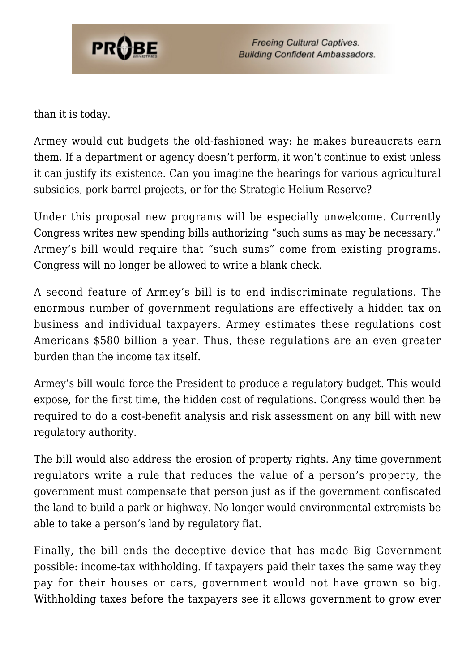

**Freeing Cultural Captives. Building Confident Ambassadors.** 

than it is today.

Armey would cut budgets the old-fashioned way: he makes bureaucrats earn them. If a department or agency doesn't perform, it won't continue to exist unless it can justify its existence. Can you imagine the hearings for various agricultural subsidies, pork barrel projects, or for the Strategic Helium Reserve?

Under this proposal new programs will be especially unwelcome. Currently Congress writes new spending bills authorizing "such sums as may be necessary." Armey's bill would require that "such sums" come from existing programs. Congress will no longer be allowed to write a blank check.

A second feature of Armey's bill is to end indiscriminate regulations. The enormous number of government regulations are effectively a hidden tax on business and individual taxpayers. Armey estimates these regulations cost Americans \$580 billion a year. Thus, these regulations are an even greater burden than the income tax itself.

Armey's bill would force the President to produce a regulatory budget. This would expose, for the first time, the hidden cost of regulations. Congress would then be required to do a cost-benefit analysis and risk assessment on any bill with new regulatory authority.

The bill would also address the erosion of property rights. Any time government regulators write a rule that reduces the value of a person's property, the government must compensate that person just as if the government confiscated the land to build a park or highway. No longer would environmental extremists be able to take a person's land by regulatory fiat.

Finally, the bill ends the deceptive device that has made Big Government possible: income-tax withholding. If taxpayers paid their taxes the same way they pay for their houses or cars, government would not have grown so big. Withholding taxes before the taxpayers see it allows government to grow ever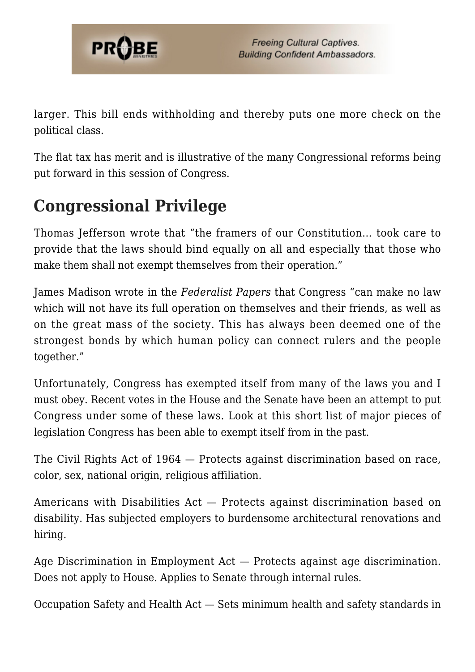

larger. This bill ends withholding and thereby puts one more check on the political class.

The flat tax has merit and is illustrative of the many Congressional reforms being put forward in this session of Congress.

### **Congressional Privilege**

Thomas Jefferson wrote that "the framers of our Constitution… took care to provide that the laws should bind equally on all and especially that those who make them shall not exempt themselves from their operation."

James Madison wrote in the *Federalist Papers* that Congress "can make no law which will not have its full operation on themselves and their friends, as well as on the great mass of the society. This has always been deemed one of the strongest bonds by which human policy can connect rulers and the people together."

Unfortunately, Congress has exempted itself from many of the laws you and I must obey. Recent votes in the House and the Senate have been an attempt to put Congress under some of these laws. Look at this short list of major pieces of legislation Congress has been able to exempt itself from in the past.

The Civil Rights Act of 1964 — Protects against discrimination based on race, color, sex, national origin, religious affiliation.

Americans with Disabilities Act — Protects against discrimination based on disability. Has subjected employers to burdensome architectural renovations and hiring.

Age Discrimination in Employment Act — Protects against age discrimination. Does not apply to House. Applies to Senate through internal rules.

Occupation Safety and Health Act — Sets minimum health and safety standards in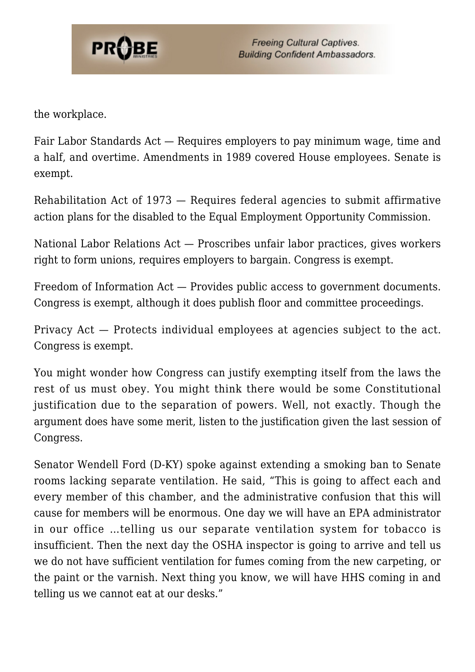

the workplace.

Fair Labor Standards Act — Requires employers to pay minimum wage, time and a half, and overtime. Amendments in 1989 covered House employees. Senate is exempt.

Rehabilitation Act of 1973 — Requires federal agencies to submit affirmative action plans for the disabled to the Equal Employment Opportunity Commission.

National Labor Relations Act — Proscribes unfair labor practices, gives workers right to form unions, requires employers to bargain. Congress is exempt.

Freedom of Information Act — Provides public access to government documents. Congress is exempt, although it does publish floor and committee proceedings.

Privacy Act — Protects individual employees at agencies subject to the act. Congress is exempt.

You might wonder how Congress can justify exempting itself from the laws the rest of us must obey. You might think there would be some Constitutional justification due to the separation of powers. Well, not exactly. Though the argument does have some merit, listen to the justification given the last session of Congress.

Senator Wendell Ford (D-KY) spoke against extending a smoking ban to Senate rooms lacking separate ventilation. He said, "This is going to affect each and every member of this chamber, and the administrative confusion that this will cause for members will be enormous. One day we will have an EPA administrator in our office …telling us our separate ventilation system for tobacco is insufficient. Then the next day the OSHA inspector is going to arrive and tell us we do not have sufficient ventilation for fumes coming from the new carpeting, or the paint or the varnish. Next thing you know, we will have HHS coming in and telling us we cannot eat at our desks."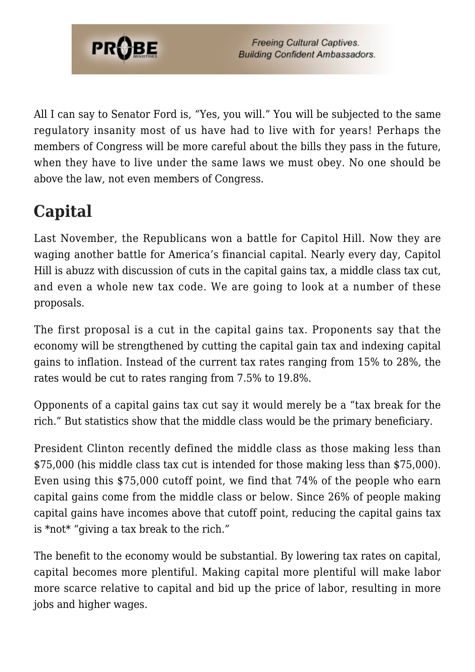

All I can say to Senator Ford is, "Yes, you will." You will be subjected to the same regulatory insanity most of us have had to live with for years! Perhaps the members of Congress will be more careful about the bills they pass in the future, when they have to live under the same laws we must obey. No one should be above the law, not even members of Congress.

## **Capital**

Last November, the Republicans won a battle for Capitol Hill. Now they are waging another battle for America's financial capital. Nearly every day, Capitol Hill is abuzz with discussion of cuts in the capital gains tax, a middle class tax cut, and even a whole new tax code. We are going to look at a number of these proposals.

The first proposal is a cut in the capital gains tax. Proponents say that the economy will be strengthened by cutting the capital gain tax and indexing capital gains to inflation. Instead of the current tax rates ranging from 15% to 28%, the rates would be cut to rates ranging from 7.5% to 19.8%.

Opponents of a capital gains tax cut say it would merely be a "tax break for the rich." But statistics show that the middle class would be the primary beneficiary.

President Clinton recently defined the middle class as those making less than \$75,000 (his middle class tax cut is intended for those making less than \$75,000). Even using this \$75,000 cutoff point, we find that 74% of the people who earn capital gains come from the middle class or below. Since 26% of people making capital gains have incomes above that cutoff point, reducing the capital gains tax is  $*$ not $*$  "giving a tax break to the rich."

The benefit to the economy would be substantial. By lowering tax rates on capital, capital becomes more plentiful. Making capital more plentiful will make labor more scarce relative to capital and bid up the price of labor, resulting in more jobs and higher wages.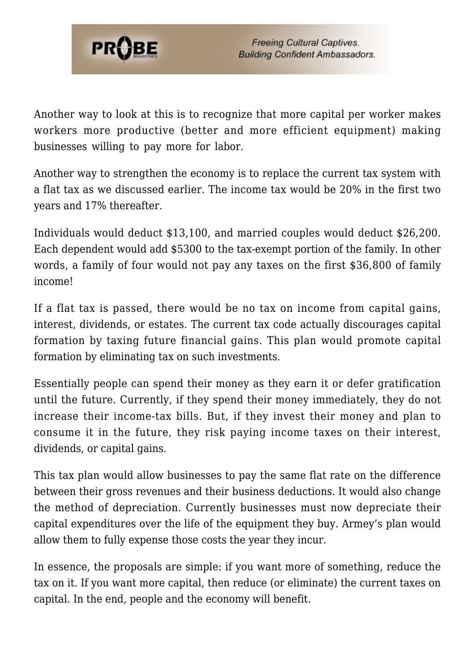

Another way to look at this is to recognize that more capital per worker makes workers more productive (better and more efficient equipment) making businesses willing to pay more for labor.

Another way to strengthen the economy is to replace the current tax system with a flat tax as we discussed earlier. The income tax would be 20% in the first two years and 17% thereafter.

Individuals would deduct \$13,100, and married couples would deduct \$26,200. Each dependent would add \$5300 to the tax-exempt portion of the family. In other words, a family of four would not pay any taxes on the first \$36,800 of family income!

If a flat tax is passed, there would be no tax on income from capital gains, interest, dividends, or estates. The current tax code actually discourages capital formation by taxing future financial gains. This plan would promote capital formation by eliminating tax on such investments.

Essentially people can spend their money as they earn it or defer gratification until the future. Currently, if they spend their money immediately, they do not increase their income-tax bills. But, if they invest their money and plan to consume it in the future, they risk paying income taxes on their interest, dividends, or capital gains.

This tax plan would allow businesses to pay the same flat rate on the difference between their gross revenues and their business deductions. It would also change the method of depreciation. Currently businesses must now depreciate their capital expenditures over the life of the equipment they buy. Armey's plan would allow them to fully expense those costs the year they incur.

In essence, the proposals are simple: if you want more of something, reduce the tax on it. If you want more capital, then reduce (or eliminate) the current taxes on capital. In the end, people and the economy will benefit.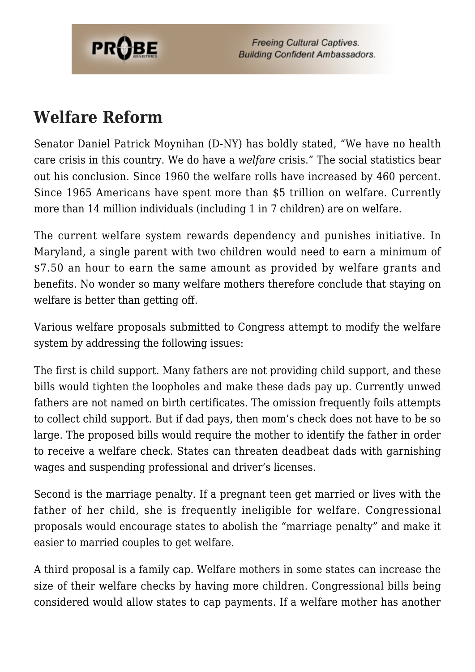

**Freeing Cultural Captives. Building Confident Ambassadors.** 

#### **Welfare Reform**

Senator Daniel Patrick Moynihan (D-NY) has boldly stated, "We have no health care crisis in this country. We do have a *welfare* crisis." The social statistics bear out his conclusion. Since 1960 the welfare rolls have increased by 460 percent. Since 1965 Americans have spent more than \$5 trillion on welfare. Currently more than 14 million individuals (including 1 in 7 children) are on welfare.

The current welfare system rewards dependency and punishes initiative. In Maryland, a single parent with two children would need to earn a minimum of \$7.50 an hour to earn the same amount as provided by welfare grants and benefits. No wonder so many welfare mothers therefore conclude that staying on welfare is better than getting off.

Various welfare proposals submitted to Congress attempt to modify the welfare system by addressing the following issues:

The first is child support. Many fathers are not providing child support, and these bills would tighten the loopholes and make these dads pay up. Currently unwed fathers are not named on birth certificates. The omission frequently foils attempts to collect child support. But if dad pays, then mom's check does not have to be so large. The proposed bills would require the mother to identify the father in order to receive a welfare check. States can threaten deadbeat dads with garnishing wages and suspending professional and driver's licenses.

Second is the marriage penalty. If a pregnant teen get married or lives with the father of her child, she is frequently ineligible for welfare. Congressional proposals would encourage states to abolish the "marriage penalty" and make it easier to married couples to get welfare.

A third proposal is a family cap. Welfare mothers in some states can increase the size of their welfare checks by having more children. Congressional bills being considered would allow states to cap payments. If a welfare mother has another